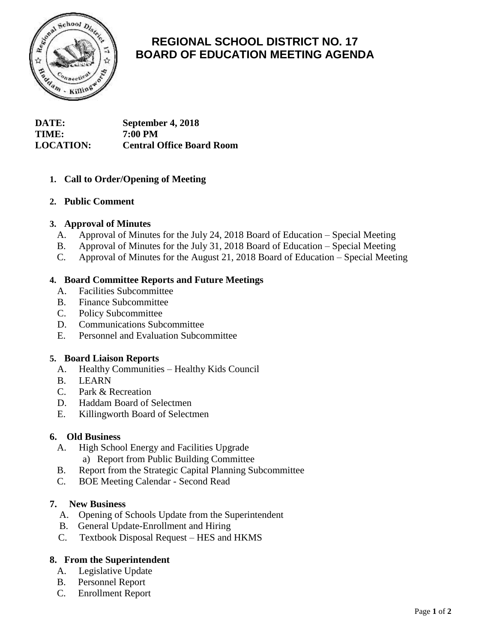

# **REGIONAL SCHOOL DISTRICT NO. 17 BOARD OF EDUCATION MEETING AGENDA**

**DATE: September 4, 2018 TIME: 7:00 PM LOCATION: Central Office Board Room**

# **1. Call to Order/Opening of Meeting**

## **2. Public Comment**

## **3. Approval of Minutes**

- A. Approval of Minutes for the July 24, 2018 Board of Education Special Meeting
- B. Approval of Minutes for the July 31, 2018 Board of Education Special Meeting
- C. Approval of Minutes for the August 21, 2018 Board of Education Special Meeting

#### **4. Board Committee Reports and Future Meetings**

- A. Facilities Subcommittee
- B. Finance Subcommittee
- C. Policy Subcommittee
- D. Communications Subcommittee
- E. Personnel and Evaluation Subcommittee

#### **5. Board Liaison Reports**

- A. Healthy Communities Healthy Kids Council
- B. LEARN
- C. Park & Recreation
- D. Haddam Board of Selectmen
- E. Killingworth Board of Selectmen

#### **6. Old Business**

- A. High School Energy and Facilities Upgrade a) Report from Public Building Committee
- B. Report from the Strategic Capital Planning Subcommittee
- C. BOE Meeting Calendar Second Read

#### **7. New Business**

- A. Opening of Schools Update from the Superintendent
- B. General Update-Enrollment and Hiring
- C. Textbook Disposal Request HES and HKMS

## **8. From the Superintendent**

- A. Legislative Update
- B. Personnel Report
- C. Enrollment Report